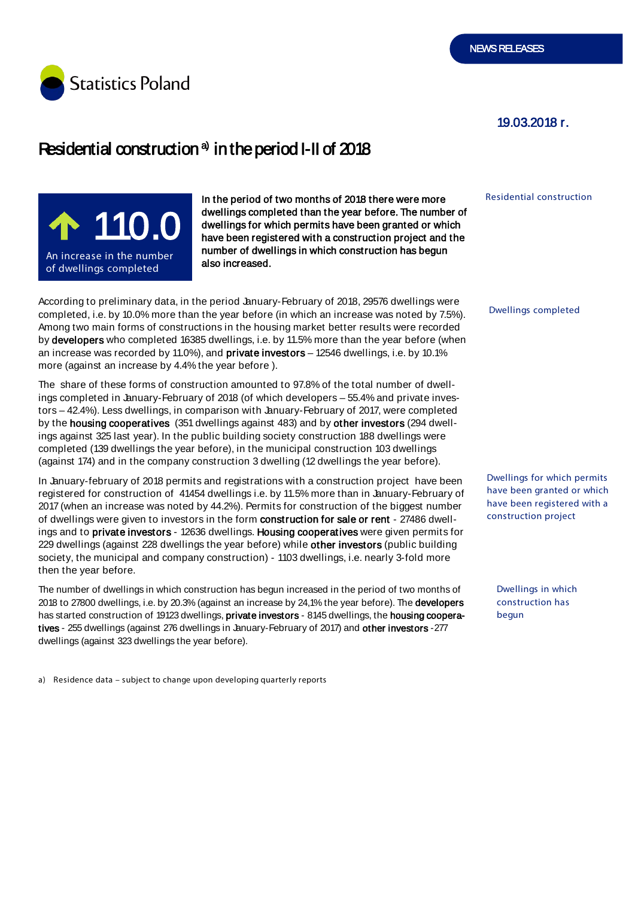

## 19.03.2018 r.

# Residential construction  $a$  in the period I-II of 2018



In the period of two months of 2018 there were more dwellings completed than the year before. The number of dwellings for which permits have been granted or which have been registered with a construction project and the number of dwellings in which construction has begun also increased.

According to preliminary data, in the period January-February of 2018, 29576 dwellings were completed, i.e. by 10.0% more than the year before (in which an increase was noted by 7.5%). Among two main forms of constructions in the housing market better results were recorded by developers who completed 16385 dwellings, i.e. by 11.5% more than the year before (when an increase was recorded by 11.0%), and private investors – 12546 dwellings, i.e. by 10.1% more (against an increase by 4.4% the year before ).

The share of these forms of construction amounted to 97.8% of the total number of dwellings completed in January-February of 2018 (of which developers – 55.4% and private investors – 42.4%). Less dwellings, in comparison with January-February of 2017, were completed by the housing cooperatives (351 dwellings against 483) and by other investors (294 dwellings against 325 last year). In the public building society construction 188 dwellings were completed (139 dwellings the year before), in the municipal construction 103 dwellings (against 174) and in the company construction 3 dwelling (12 dwellings the year before).

In January-february of 2018 permits and registrations with a construction project have been registered for construction of 41454 dwellings i.e. by 11.5% more than in January-February of 2017 (when an increase was noted by 44.2%). Permits for construction of the biggest number of dwellings were given to investors in the form construction for sale or rent - 27486 dwellings and to private investors - 12636 dwellings. Housing cooperatives were given permits for 229 dwellings (against 228 dwellings the year before) while other investors (public building society, the municipal and company construction) - 1103 dwellings, i.e. nearly 3-fold more then the year before.

The number of dwellings in which construction has begun increased in the period of two months of 2018 to 27800 dwellings, i.e. by 20.3% (against an increase by 24,1% the year before). The developers has started construction of 19123 dwellings, private investors - 8145 dwellings, the housing cooperatives - 255 dwellings (against 276 dwellings in January-February of 2017) and other investors -277 dwellings (against 323 dwellings the year before).

a) Residence data – subject to change upon developing quarterly reports

Residential construction

Dwellings completed

Dwellings for which permits have been granted or which have been registered with a construction project

Dwellings in which construction has begun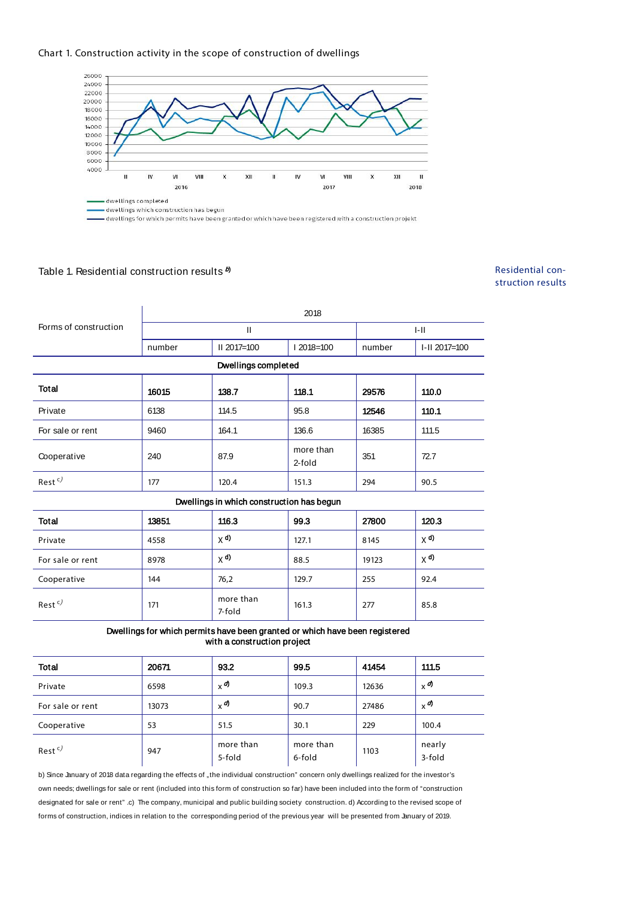#### Chart 1. Construction activity in the scope of construction of dwellings



- dwellings for which permits have been granted or which have been registered with a construction projekt

## Table 1. Residential construction results  $^{\textit{b)}}$

### Residential construction results

| Forms of construction | 2018   |               |          |        |               |  |
|-----------------------|--------|---------------|----------|--------|---------------|--|
|                       |        |               |          | I-II   |               |  |
|                       | number | $II$ 2017=100 | 2018=100 | number | I-II 2017=100 |  |
| Dwellings completed   |        |               |          |        |               |  |

| <b>Total</b>       | 16015 | 138.7 | 118.1               | 29576 | 110.0 |
|--------------------|-------|-------|---------------------|-------|-------|
| Private            | 6138  | 114.5 | 95.8                | 12546 | 110.1 |
| For sale or rent   | 9460  | 164.1 | 136.6               | 16385 | 111.5 |
| Cooperative        | 240   | 87.9  | more than<br>2-fold | 351   | 72.7  |
| Rest <sup>c)</sup> | 177   | 120.4 | 151.3               | 294   | 90.5  |

#### Dwellings in which construction has begun

| Total            | 13851 | 116.3               | 99.3  | 27800 | 120.3                  |
|------------------|-------|---------------------|-------|-------|------------------------|
| Private          | 4558  | $X$ <sup>d)</sup>   | 127.1 | 8145  | $\times$ <sup>d)</sup> |
| For sale or rent | 8978  | $X^{d}$             | 88.5  | 19123 | $\times$ <sup>d)</sup> |
| Cooperative      | 144   | 76,2                | 129.7 | 255   | 92.4                   |
| $Rest^c$         | 171   | more than<br>7-fold | 161.3 | 277   | 85.8                   |

Dwellings for which permits have been granted or which have been registered with a construction project

| <b>Total</b>     | 20671 | 93.2                 | 99.5                | 41454 | 111.5                |
|------------------|-------|----------------------|---------------------|-------|----------------------|
| Private          | 6598  | $x^{\boldsymbol{d}}$ | 109.3               | 12636 | $x^{\boldsymbol{d}}$ |
| For sale or rent | 13073 | $x^{\boldsymbol{d}}$ | 90.7                | 27486 | $x^{\boldsymbol{d}}$ |
| Cooperative      | 53    | 51.5                 | 30.1                | 229   | 100.4                |
| $Rest^c$         | 947   | more than<br>5-fold  | more than<br>6-fold | 1103  | nearly<br>3-fold     |

b) Since January of 2018 data regarding the effects of "the individual construction" concern only dwellings realized for the investor's own needs; dwellings for sale or rent (included into this form of construction so far) have been included into the form of "construction designated for sale or rent" .c) The company, municipal and public building society construction. d) According to the revised scope of forms of construction, indices in relation to the corresponding period of the previous year will be presented from January of 2019.